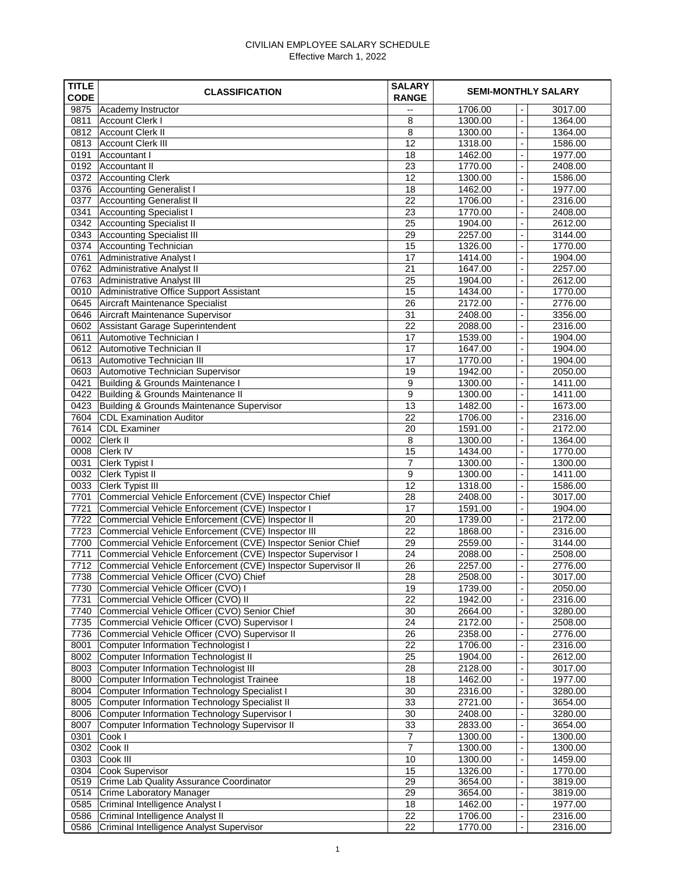## CIVILIAN EMPLOYEE SALARY SCHEDULE Effective March 1, 2022

| <b>TITLE</b><br><b>CODE</b> | <b>CLASSIFICATION</b>                                                                          | <b>SALARY</b><br><b>RANGE</b> |                    | <b>SEMI-MONTHLY SALARY</b>                                       |  |  |
|-----------------------------|------------------------------------------------------------------------------------------------|-------------------------------|--------------------|------------------------------------------------------------------|--|--|
| 9875                        | Academy Instructor                                                                             | --                            | 1706.00            | 3017.00<br>$\overline{\phantom{a}}$                              |  |  |
| 0811                        | Account Clerk I                                                                                | 8                             | 1300.00            | 1364.00<br>$\overline{a}$                                        |  |  |
| 0812                        | Account Clerk II                                                                               | 8                             | 1300.00            | 1364.00<br>$\overline{a}$                                        |  |  |
| 0813                        | <b>Account Clerk III</b>                                                                       | 12                            | 1318.00            | 1586.00<br>$\overline{\phantom{a}}$                              |  |  |
| 0191                        | Accountant I                                                                                   | 18                            | 1462.00            | 1977.00<br>$\overline{a}$                                        |  |  |
| 0192                        | Accountant II                                                                                  | 23                            | 1770.00            | 2408.00<br>$\overline{\phantom{a}}$                              |  |  |
| 0372                        | <b>Accounting Clerk</b>                                                                        | 12                            | 1300.00            | 1586.00<br>$\overline{\phantom{a}}$                              |  |  |
| 0376                        | <b>Accounting Generalist I</b>                                                                 | 18                            | 1462.00            | 1977.00<br>$\overline{\phantom{a}}$                              |  |  |
| 0377                        | <b>Accounting Generalist II</b>                                                                | 22                            | 1706.00            | 2316.00<br>$\overline{a}$                                        |  |  |
| 0341                        | <b>Accounting Specialist I</b>                                                                 | 23                            | 1770.00            | 2408.00<br>$\overline{\phantom{a}}$                              |  |  |
| 0342                        | <b>Accounting Specialist II</b>                                                                | 25                            | 1904.00            | 2612.00<br>$\blacksquare$                                        |  |  |
| 0343                        | <b>Accounting Specialist III</b>                                                               | 29<br>15                      | 2257.00            | 3144.00<br>$\overline{a}$                                        |  |  |
| 0374<br>0761                | Accounting Technician<br>Administrative Analyst I                                              | 17                            | 1326.00<br>1414.00 | 1770.00<br>$\overline{\phantom{a}}$<br>1904.00<br>$\blacksquare$ |  |  |
| 0762                        | Administrative Analyst II                                                                      | 21                            | 1647.00            | 2257.00<br>$\overline{\phantom{a}}$                              |  |  |
| 0763                        | Administrative Analyst III                                                                     | 25                            | 1904.00            | 2612.00<br>$\overline{a}$                                        |  |  |
| 0010                        | Administrative Office Support Assistant                                                        | 15                            | 1434.00            | 1770.00<br>$\overline{\phantom{a}}$                              |  |  |
| 0645                        | Aircraft Maintenance Specialist                                                                | 26                            | 2172.00            | 2776.00<br>$\overline{\phantom{a}}$                              |  |  |
| 0646                        | Aircraft Maintenance Supervisor                                                                | 31                            | 2408.00            | 3356.00<br>$\overline{\phantom{a}}$                              |  |  |
| 0602                        | Assistant Garage Superintendent                                                                | 22                            | 2088.00            | 2316.00<br>$\overline{\phantom{a}}$                              |  |  |
| 0611                        | Automotive Technician I                                                                        | 17                            | 1539.00            | 1904.00<br>$\overline{\phantom{a}}$                              |  |  |
| 0612                        | Automotive Technician II                                                                       | 17                            | 1647.00            | 1904.00<br>$\overline{a}$                                        |  |  |
| 0613                        | Automotive Technician III                                                                      | 17                            | 1770.00            | 1904.00<br>$\overline{a}$                                        |  |  |
| 0603                        | Automotive Technician Supervisor                                                               | 19                            | 1942.00            | 2050.00<br>$\overline{a}$                                        |  |  |
| 0421                        | <b>Building &amp; Grounds Maintenance I</b>                                                    | 9                             | 1300.00            | 1411.00<br>$\overline{a}$                                        |  |  |
| 0422                        | <b>Building &amp; Grounds Maintenance II</b>                                                   | 9                             | 1300.00            | 1411.00<br>$\overline{a}$                                        |  |  |
| 0423                        | <b>Building &amp; Grounds Maintenance Supervisor</b>                                           | 13                            | 1482.00            | 1673.00<br>$\blacksquare$                                        |  |  |
| 7604                        | <b>CDL Examination Auditor</b>                                                                 | 22                            | 1706.00            | 2316.00<br>$\blacksquare$                                        |  |  |
| 7614                        | <b>CDL Examiner</b>                                                                            | 20                            | 1591.00            | 2172.00                                                          |  |  |
| 0002                        | Clerk II                                                                                       | 8                             | 1300.00            | 1364.00<br>$\overline{\phantom{a}}$                              |  |  |
| 0008                        | <b>Clerk IV</b>                                                                                | 15                            | 1434.00            | 1770.00<br>$\overline{\phantom{a}}$                              |  |  |
| 0031                        | Clerk Typist I                                                                                 | $\overline{7}$                | 1300.00            | 1300.00<br>$\overline{\phantom{a}}$                              |  |  |
| 0032                        | <b>Clerk Typist II</b>                                                                         | 9                             | 1300.00            | 1411.00<br>$\overline{\phantom{a}}$                              |  |  |
| 0033                        | <b>Clerk Typist III</b>                                                                        | 12                            | 1318.00            | 1586.00<br>$\overline{\phantom{a}}$                              |  |  |
| 7701                        | Commercial Vehicle Enforcement (CVE) Inspector Chief                                           | 28                            | 2408.00            | 3017.00<br>$\overline{\phantom{a}}$                              |  |  |
| 7721                        | Commercial Vehicle Enforcement (CVE) Inspector I                                               | 17                            | 1591.00            | 1904.00<br>$\overline{a}$                                        |  |  |
| 7722                        | Commercial Vehicle Enforcement (CVE) Inspector II                                              | 20                            | 1739.00            | 2172.00<br>$\overline{a}$                                        |  |  |
| 7723                        | Commercial Vehicle Enforcement (CVE) Inspector III                                             | 22                            | 1868.00            | 2316.00<br>$\overline{a}$                                        |  |  |
| 7700                        | Commercial Vehicle Enforcement (CVE) Inspector Senior Chief                                    | 29                            | 2559.00            | 3144.00<br>$\overline{\phantom{a}}$                              |  |  |
| 7711                        | Commercial Vehicle Enforcement (CVE) Inspector Supervisor I                                    | 24                            | 2088.00            | 2508.00<br>$\overline{a}$                                        |  |  |
| 7712                        | Commercial Vehicle Enforcement (CVE) Inspector Supervisor II                                   | 26                            | 2257.00            | 2776.00<br>$\overline{\phantom{a}}$                              |  |  |
| 7738                        | Commercial Vehicle Officer (CVO) Chief                                                         | 28                            | 2508.00            | 3017.00<br>$\overline{\phantom{a}}$                              |  |  |
| 7730                        | Commercial Vehicle Officer (CVO) I                                                             | 19                            | 1739.00            | 2050.00<br>$\overline{\phantom{a}}$                              |  |  |
| 7731                        | Commercial Vehicle Officer (CVO) II                                                            | 22                            | 1942.00            | 2316.00<br>$\overline{\phantom{a}}$                              |  |  |
| 7740<br>7735                | Commercial Vehicle Officer (CVO) Senior Chief<br>Commercial Vehicle Officer (CVO) Supervisor I | 30<br>24                      | 2664.00<br>2172.00 | 3280.00<br>$\overline{\phantom{a}}$<br>2508.00<br>$\overline{a}$ |  |  |
| 7736                        | Commercial Vehicle Officer (CVO) Supervisor II                                                 | 26                            | 2358.00            | 2776.00<br>$\overline{\phantom{a}}$                              |  |  |
| 8001                        | <b>Computer Information Technologist I</b>                                                     | 22                            | 1706.00            | 2316.00<br>$\overline{a}$                                        |  |  |
| 8002                        | <b>Computer Information Technologist II</b>                                                    | 25                            | 1904.00            | 2612.00<br>$\overline{a}$                                        |  |  |
| 8003                        | <b>Computer Information Technologist III</b>                                                   | 28                            | 2128.00            | 3017.00<br>$\overline{a}$                                        |  |  |
| 8000                        | <b>Computer Information Technologist Trainee</b>                                               | 18                            | 1462.00            | 1977.00<br>$\blacksquare$                                        |  |  |
| 8004                        | <b>Computer Information Technology Specialist I</b>                                            | 30                            | 2316.00            | 3280.00<br>$\blacksquare$                                        |  |  |
| 8005                        | <b>Computer Information Technology Specialist II</b>                                           | 33                            | 2721.00            | 3654.00<br>$\overline{\phantom{a}}$                              |  |  |
| 8006                        | Computer Information Technology Supervisor I                                                   | 30                            | 2408.00            | 3280.00<br>$\overline{\phantom{a}}$                              |  |  |
| 8007                        | <b>Computer Information Technology Supervisor II</b>                                           | 33                            | 2833.00            | 3654.00<br>$\overline{\phantom{a}}$                              |  |  |
| 0301                        | Cook I                                                                                         | $\overline{7}$                | 1300.00            | 1300.00<br>$\overline{\phantom{a}}$                              |  |  |
| 0302                        | Cook II                                                                                        | $\overline{7}$                | 1300.00            | 1300.00<br>$\overline{\phantom{a}}$                              |  |  |
| 0303                        | Cook III                                                                                       | 10                            | 1300.00            | 1459.00<br>$\overline{\phantom{a}}$                              |  |  |
| 0304                        | <b>Cook Supervisor</b>                                                                         | 15                            | 1326.00            | 1770.00<br>$\overline{\phantom{a}}$                              |  |  |
| 0519                        | <b>Crime Lab Quality Assurance Coordinator</b>                                                 | 29                            | 3654.00            | 3819.00<br>$\blacksquare$                                        |  |  |
| 0514                        | <b>Crime Laboratory Manager</b>                                                                | 29                            | 3654.00            | 3819.00                                                          |  |  |
| 0585                        | Criminal Intelligence Analyst I                                                                | 18                            | 1462.00            | 1977.00                                                          |  |  |
| 0586                        | Criminal Intelligence Analyst II                                                               | 22                            | 1706.00            | 2316.00<br>$\overline{\phantom{a}}$                              |  |  |
| 0586                        | Criminal Intelligence Analyst Supervisor                                                       | 22                            | 1770.00            | 2316.00                                                          |  |  |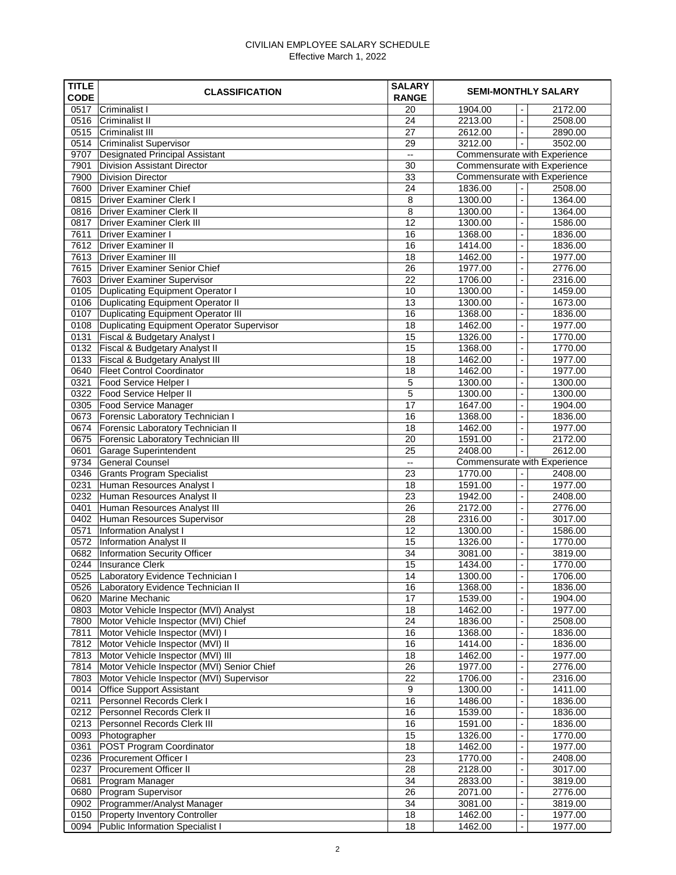## CIVILIAN EMPLOYEE SALARY SCHEDULE Effective March 1, 2022

| <b>TITLE</b><br><b>CODE</b> | <b>CLASSIFICATION</b>                                                                         | <b>SALARY</b><br><b>RANGE</b> |                    | <b>SEMI-MONTHLY SALARY</b>                 |                                     |  |  |
|-----------------------------|-----------------------------------------------------------------------------------------------|-------------------------------|--------------------|--------------------------------------------|-------------------------------------|--|--|
| 0517                        | <b>Criminalist I</b>                                                                          | 20                            | 1904.00            | $\overline{a}$                             | 2172.00                             |  |  |
| 0516                        | <b>Criminalist II</b>                                                                         | 24                            | 2213.00            | $\overline{a}$                             | 2508.00                             |  |  |
| 0515                        | <b>Criminalist III</b>                                                                        | 27                            | 2612.00            |                                            | 2890.00                             |  |  |
| 0514                        | <b>Criminalist Supervisor</b>                                                                 | 29                            | 3212.00            | $\blacksquare$                             | 3502.00                             |  |  |
| 9707                        | <b>Designated Principal Assistant</b>                                                         | --                            |                    | Commensurate with Experience               |                                     |  |  |
| 7901                        | <b>Division Assistant Director</b>                                                            | 30                            |                    |                                            | <b>Commensurate with Experience</b> |  |  |
| 7900                        | <b>Division Director</b>                                                                      | 33                            |                    |                                            | <b>Commensurate with Experience</b> |  |  |
| 7600                        | <b>Driver Examiner Chief</b>                                                                  | 24                            | 1836.00            |                                            | 2508.00                             |  |  |
| 0815                        | <b>Driver Examiner Clerk I</b>                                                                | 8                             | 1300.00            | $\overline{a}$                             | 1364.00                             |  |  |
| 0816                        | <b>Driver Examiner Clerk II</b>                                                               | 8                             | 1300.00            | $\overline{a}$                             | 1364.00                             |  |  |
| 0817                        | <b>Driver Examiner Clerk III</b>                                                              | 12                            | 1300.00            | $\overline{a}$                             | 1586.00                             |  |  |
| 7611                        | <b>Driver Examiner I</b>                                                                      | 16                            | 1368.00            | $\overline{a}$                             | 1836.00                             |  |  |
| 7612                        | <b>Driver Examiner II</b>                                                                     | 16                            | 1414.00            | $\overline{\phantom{a}}$                   | 1836.00                             |  |  |
| 7613                        | <b>Driver Examiner III</b>                                                                    | 18                            | 1462.00            | $\blacksquare$                             | 1977.00                             |  |  |
| 7615                        | <b>Driver Examiner Senior Chief</b>                                                           | 26                            | 1977.00            | $\overline{a}$                             | 2776.00                             |  |  |
| 7603                        | <b>Driver Examiner Supervisor</b>                                                             | 22                            | 1706.00            | $\overline{\phantom{a}}$                   | 2316.00                             |  |  |
| 0105                        | <b>Duplicating Equipment Operator I</b>                                                       | 10                            | 1300.00            | $\overline{a}$                             | 1459.00                             |  |  |
| 0106                        | <b>Duplicating Equipment Operator II</b>                                                      | 13<br>16                      | 1300.00            | $\overline{\phantom{a}}$                   | 1673.00                             |  |  |
| 0107<br>0108                | <b>Duplicating Equipment Operator III</b><br><b>Duplicating Equipment Operator Supervisor</b> | 18                            | 1368.00<br>1462.00 | $\overline{\phantom{a}}$<br>$\blacksquare$ | 1836.00<br>1977.00                  |  |  |
| 0131                        | <b>Fiscal &amp; Budgetary Analyst I</b>                                                       | 15                            | 1326.00            | $\overline{a}$                             | 1770.00                             |  |  |
| 0132                        | <b>Fiscal &amp; Budgetary Analyst II</b>                                                      | 15                            | 1368.00            | $\overline{a}$                             | 1770.00                             |  |  |
| 0133                        | Fiscal & Budgetary Analyst III                                                                | 18                            | 1462.00            | $\overline{a}$                             | 1977.00                             |  |  |
| 0640                        | <b>Fleet Control Coordinator</b>                                                              | 18                            | 1462.00            | $\overline{a}$                             | 1977.00                             |  |  |
| 0321                        | Food Service Helper I                                                                         | 5                             | 1300.00            | $\overline{\phantom{a}}$                   | 1300.00                             |  |  |
| 0322                        | <b>Food Service Helper II</b>                                                                 | 5                             | 1300.00            | $\overline{\phantom{a}}$                   | 1300.00                             |  |  |
| 0305                        | <b>Food Service Manager</b>                                                                   | 17                            | 1647.00            |                                            | 1904.00                             |  |  |
| 0673                        | <b>Forensic Laboratory Technician I</b>                                                       | 16                            | 1368.00            | $\overline{\phantom{a}}$                   | 1836.00                             |  |  |
| 0674                        | <b>Forensic Laboratory Technician II</b>                                                      | 18                            | 1462.00            |                                            | 1977.00                             |  |  |
| 0675                        | <b>Forensic Laboratory Technician III</b>                                                     | 20                            | 1591.00            | $\overline{\phantom{a}}$                   | 2172.00                             |  |  |
| 0601                        | <b>Garage Superintendent</b>                                                                  | 25                            | 2408.00            |                                            | 2612.00                             |  |  |
| 9734                        | <b>General Counsel</b>                                                                        | --                            |                    |                                            | <b>Commensurate with Experience</b> |  |  |
| 0346                        | <b>Grants Program Specialist</b>                                                              | 23                            | 1770.00            |                                            | 2408.00                             |  |  |
| 0231                        | Human Resources Analyst I                                                                     | 18                            | 1591.00            | $\overline{\phantom{a}}$                   | 1977.00                             |  |  |
| 0232                        | Human Resources Analyst II                                                                    | 23                            | 1942.00            | $\overline{a}$                             | 2408.00                             |  |  |
| 0401                        | Human Resources Analyst III                                                                   | 26                            | 2172.00            | $\overline{\phantom{a}}$                   | 2776.00                             |  |  |
| 0402                        | Human Resources Supervisor                                                                    | 28                            | 2316.00            | $\overline{\phantom{a}}$                   | 3017.00                             |  |  |
| 0571                        | <b>Information Analyst I</b>                                                                  | 12                            | 1300.00            | $\blacksquare$                             | 1586.00                             |  |  |
| 0572                        | <b>Information Analyst II</b>                                                                 | 15                            | 1326.00            | $\overline{\phantom{a}}$                   | 1770.00                             |  |  |
| 0682                        | Information Security Officer                                                                  | 34                            | 3081.00            | $\overline{\phantom{a}}$                   | 3819.00                             |  |  |
| 0244                        | <b>Insurance Clerk</b>                                                                        | 15                            | 1434.00            | $\overline{\phantom{a}}$                   | 1770.00                             |  |  |
| 0525                        | Laboratory Evidence Technician I                                                              | 14                            | 1300.00            | $\overline{\phantom{a}}$                   | 1706.00                             |  |  |
| 0526                        | Laboratory Evidence Technician II                                                             | 16                            | 1368.00            | $\overline{\phantom{a}}$                   | 1836.00                             |  |  |
| 0620                        | Marine Mechanic                                                                               | 17                            | 1539.00            | $\overline{\phantom{a}}$                   | 1904.00                             |  |  |
| 0803<br>7800                | Motor Vehicle Inspector (MVI) Analyst                                                         | 18<br>24                      | 1462.00<br>1836.00 | $\blacksquare$<br>$\overline{a}$           | 1977.00<br>2508.00                  |  |  |
| 7811                        | Motor Vehicle Inspector (MVI) Chief<br>Motor Vehicle Inspector (MVI) I                        | 16                            | 1368.00            | $\overline{\phantom{a}}$                   | 1836.00                             |  |  |
| 7812                        | Motor Vehicle Inspector (MVI) II                                                              | 16                            | 1414.00            | $\overline{\phantom{a}}$                   | 1836.00                             |  |  |
| 7813                        | Motor Vehicle Inspector (MVI) III                                                             | 18                            | 1462.00            | $\overline{\phantom{a}}$                   | 1977.00                             |  |  |
| 7814                        | Motor Vehicle Inspector (MVI) Senior Chief                                                    | 26                            | 1977.00            | $\overline{\phantom{a}}$                   | 2776.00                             |  |  |
| 7803                        | Motor Vehicle Inspector (MVI) Supervisor                                                      | 22                            | 1706.00            | $\overline{\phantom{a}}$                   | 2316.00                             |  |  |
| 0014                        | <b>Office Support Assistant</b>                                                               | 9                             | 1300.00            | $\overline{\phantom{a}}$                   | 1411.00                             |  |  |
| 0211                        | <b>Personnel Records Clerk I</b>                                                              | 16                            | 1486.00            | $\overline{a}$                             | 1836.00                             |  |  |
| 0212                        | <b>Personnel Records Clerk II</b>                                                             | 16                            | 1539.00            | $\overline{a}$                             | 1836.00                             |  |  |
| 0213                        | Personnel Records Clerk III                                                                   | 16                            | 1591.00            | $\overline{a}$                             | 1836.00                             |  |  |
| 0093                        | Photographer                                                                                  | 15                            | 1326.00            | $\overline{\phantom{a}}$                   | 1770.00                             |  |  |
| 0361                        | POST Program Coordinator                                                                      | 18                            | 1462.00            | $\overline{a}$                             | 1977.00                             |  |  |
| 0236                        | <b>Procurement Officer I</b>                                                                  | 23                            | 1770.00            | $\blacksquare$                             | 2408.00                             |  |  |
| 0237                        | <b>Procurement Officer II</b>                                                                 | 28                            | 2128.00            |                                            | 3017.00                             |  |  |
| 0681                        | Program Manager                                                                               | 34                            | 2833.00            |                                            | 3819.00                             |  |  |
| 0680                        | Program Supervisor                                                                            | 26                            | 2071.00            | $\overline{\phantom{a}}$                   | 2776.00                             |  |  |
| 0902                        | Programmer/Analyst Manager                                                                    | 34                            | 3081.00            |                                            | 3819.00                             |  |  |
| 0150                        | <b>Property Inventory Controller</b>                                                          | 18                            | 1462.00            | $\overline{\phantom{a}}$                   | 1977.00                             |  |  |
| 0094                        | <b>Public Information Specialist I</b>                                                        | 18                            | 1462.00            | $\overline{a}$                             | 1977.00                             |  |  |